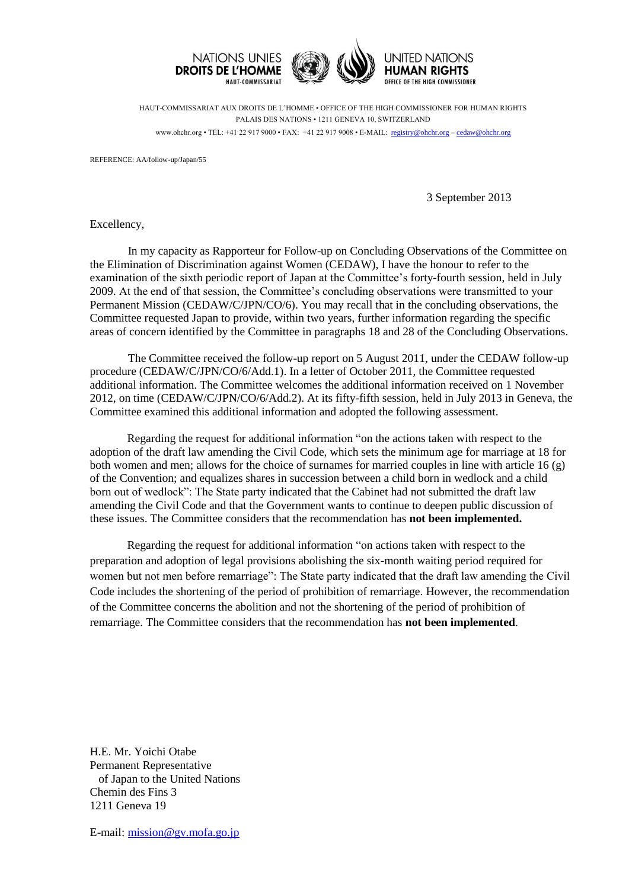

HAUT-COMMISSARIAT AUX DROITS DE L'HOMME • OFFICE OF THE HIGH COMMISSIONER FOR HUMAN RIGHTS PALAIS DES NATIONS • 1211 GENEVA 10, SWITZERLAND www.ohchr.org • TEL: +41 22 917 9000 • FAX: +41 22 917 9008 • E-MAIL: registry@ohchr.org – cedaw@ohchr.org

REFERENCE: AA/follow-up/Japan/55

3 September 2013

Excellency,

In my capacity as Rapporteur for Follow-up on Concluding Observations of the Committee on the Elimination of Discrimination against Women (CEDAW), I have the honour to refer to the examination of the sixth periodic report of Japan at the Committee's forty-fourth session, held in July 2009. At the end of that session, the Committee's concluding observations were transmitted to your Permanent Mission (CEDAW/C/JPN/CO/6). You may recall that in the concluding observations, the Committee requested Japan to provide, within two years, further information regarding the specific areas of concern identified by the Committee in paragraphs 18 and 28 of the Concluding Observations.

The Committee received the follow-up report on 5 August 2011, under the CEDAW follow-up procedure (CEDAW/C/JPN/CO/6/Add.1). In a letter of October 2011, the Committee requested additional information. The Committee welcomes the additional information received on 1 November 2012, on time (CEDAW/C/JPN/CO/6/Add.2). At its fifty-fifth session, held in July 2013 in Geneva, the Committee examined this additional information and adopted the following assessment.

Regarding the request for additional information "on the actions taken with respect to the adoption of the draft law amending the Civil Code, which sets the minimum age for marriage at 18 for both women and men; allows for the choice of surnames for married couples in line with article 16 (g) of the Convention; and equalizes shares in succession between a child born in wedlock and a child born out of wedlock": The State party indicated that the Cabinet had not submitted the draft law amending the Civil Code and that the Government wants to continue to deepen public discussion of these issues. The Committee considers that the recommendation has **not been implemented.**

Regarding the request for additional information "on actions taken with respect to the preparation and adoption of legal provisions abolishing the six-month waiting period required for women but not men before remarriage": The State party indicated that the draft law amending the Civil Code includes the shortening of the period of prohibition of remarriage. However, the recommendation of the Committee concerns the abolition and not the shortening of the period of prohibition of remarriage. The Committee considers that the recommendation has **not been implemented**.

H.E. Mr. Yoichi Otabe Permanent Representative of Japan to the United Nations Chemin des Fins 3 1211 Geneva 19

E-mail: [mission@gv.mofa.go.jp](mailto:mission@gv.mofa.go.jp)